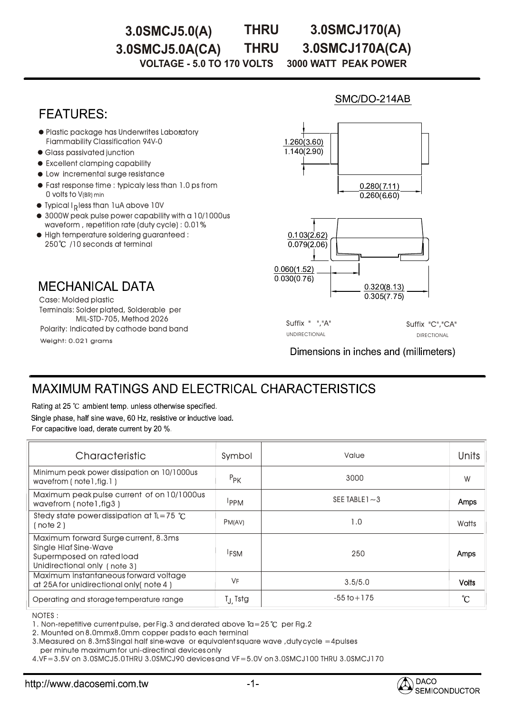**THRU**

## **3.0SMCJ5.0(A) THRU 3.0SMCJ170(A)**

**3.0SMCJ5.0A(CA) 3.0SMCJ170A(CA)**

**VOLTAGE - 5.0 TO 170 VOLTS 3000 WATT PEAK POWER** 

## **FEATURES:**

- Plastic package has Underwrites Laboratory Fiammability Classification 94V-0
- Glass passivated junction
- Excellent clamping capability
- $\bullet$  Low incremental surge resistance
- Fast response time : typicaly less than 1.0 ps from 0 volts to V(BR) min
- $\bullet$  Typical I<sub>R</sub> less than 1uA above 10V
- 3000W peak pulse power capability with a 10/1000us waveform , repetition rate (duty cycle) : 0.01% 0.01%
- $\bullet$  High temperature soldering guaranteed : 250°C /10 seconds at terminal

### **MECHANICAL DATA**

Weight: 0.021 grams Terminals: Solder plated, Solderable per MIL-STD-705, Method 2026 Case: Molded plastic Polarity: Indicated by cathode band band

# SMC/DO-214AB



Suffix " ","A" Suffix "C","CA" UNDIRECTIONAL DIRECTIONAL

Dimensions in inches and (millimeters)

## **MAXIMUM RATINGS AND ELECTRICAL CHARACTERISTICS**

Rating at 25 °C ambient temp. unless otherwise specified. Single phase, half sine wave, 60 Hz, resistive or inductive load. For capacitive load, derate current by 20 %.

| Characteristic                                                                                                                    | Symbol              | Value             | Units        |
|-----------------------------------------------------------------------------------------------------------------------------------|---------------------|-------------------|--------------|
| Minimum peak power dissipation on 10/1000us<br>wavefrom (note l, fig. 1)                                                          | $P_{PK}$            | 3000              | W            |
| Maximum peak pulse current of on 10/1000us<br>wavefrom (note I, fig 3)                                                            | <b>IPPM</b>         | SEE TABLE $1 - 3$ | Amps         |
| Stedy state power dissipation at $IL = 75$ °C<br>(note 2)                                                                         | PM(AV)              | 1.0               | Watts        |
| Maximum forward Surge current, 8.3ms<br><b>Single Hiaf Sine-Wave</b><br>Supermposed on rated load<br>Unidirectional only (note 3) | <sup>I</sup> FSM    | 250               | Amps         |
| Maximum instantaneous forward voltage<br>at 25A for unidirectional only (note 4)                                                  | <b>VF</b>           | 3.5/5.0           | <b>Volts</b> |
| Operating and storage temperature range                                                                                           | T <sub>J</sub> Tstg | $-55$ to $+175$   | °C           |

NOTES : :

1. Non-repetitive current pulse, per Fig.3 and derated above Ta=25  $^{\circ}$ C per Fig.2

2. Mounted on 8.0mmx8.0mm copper pads to each terminal

3.Measured on 8.3mS Singal half sine-wave or equivalent square wave ,duty cycle =4pulses per minute maximum for uni-directinal devices only

4.VF=3.5V on 3.0SMCJ5.0 THRU 3.0SMCJ90 devices and VF=5.0V on 3.0SMCJ100 THRU 3.0SMCJ170 3.0SMCJ170

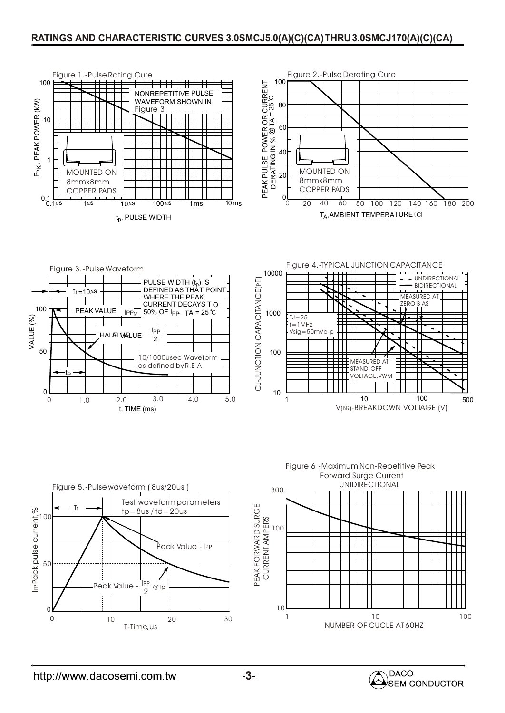#### **RATINGS AND CHARACTERISTIC CURVES 3.0SMCJ5.0(A)(C)(CA)THRU3.0SMCJ170(A)(C)(CA)**













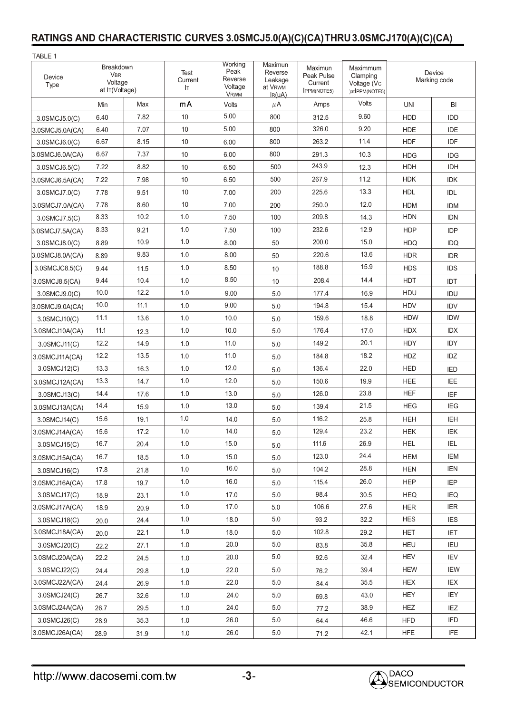## **RATINGS AND CHARACTERISTIC CURVES 3.0SMCJ5.0(A)(C)(CA)THRU3.0SMCJ170(A)(C)(CA)**

| TABLE 1         |                                                      |      |                       |                                                      |                                                                   |                                                        |                                                       |                        |            |
|-----------------|------------------------------------------------------|------|-----------------------|------------------------------------------------------|-------------------------------------------------------------------|--------------------------------------------------------|-------------------------------------------------------|------------------------|------------|
| Device<br>Type  | Breakdown<br><b>VBR</b><br>Voltage<br>at IT(Voltage) |      | Test<br>Current<br>Iт | Working<br>Peak<br>Reverse<br>Voltage<br><b>VRWM</b> | Maximun<br>Reverse<br>Leakage<br>at V <sub>RWM</sub><br>$I_R(uA)$ | Maximun<br>Peak Pulse<br>Current<br><b>IPPM(NOTE5)</b> | Maximmum<br>Clamping<br>Voltage (Vc<br>)atIPPM(NOTE5) | Device<br>Marking code |            |
|                 | Min                                                  | Max  | mA                    | Volts                                                | $\mu$ A                                                           | Amps                                                   | Volts                                                 | <b>UNI</b>             | BI         |
| 3.0SMCJ5.0(C)   | 6.40                                                 | 7.82 | 10                    | 5.00                                                 | 800                                                               | 312.5                                                  | 9.60                                                  | <b>HDD</b>             | <b>IDD</b> |
| 3.0SMCJ5.0A(CA) | 6.40                                                 | 7.07 | 10                    | 5.00                                                 | 800                                                               | 326.0                                                  | 9.20                                                  | <b>HDE</b>             | <b>IDE</b> |
| 3.0SMCJ6.0(C)   | 6.67                                                 | 8.15 | 10                    | 6.00                                                 | 800                                                               | 263.2                                                  | 11.4                                                  | <b>HDF</b>             | IDF        |
| 3.0SMCJ6.0A(CA) | 6.67                                                 | 7.37 | 10                    | 6.00                                                 | 800                                                               | 291.3                                                  | 10.3                                                  | <b>HDG</b>             | <b>IDG</b> |
| 3.0SMCJ6.5(C)   | 7.22                                                 | 8.82 | 10                    | 6.50                                                 | 500                                                               | 243.9                                                  | 12.3                                                  | <b>HDH</b>             | IDH        |
| 3.0SMCJ6.5A(CA) | 7.22                                                 | 7.98 | 10                    | 6.50                                                 | 500                                                               | 267.9                                                  | 11.2                                                  | <b>HDK</b>             | <b>IDK</b> |
| 3.0SMCJ7.0(C)   | 7.78                                                 | 9.51 | 10                    | 7.00                                                 | 200                                                               | 225.6                                                  | 13.3                                                  | <b>HDL</b>             | <b>IDL</b> |
| 3.0SMCJ7.0A(CA) | 7.78                                                 | 8.60 | 10                    | 7.00                                                 | 200                                                               | 250.0                                                  | 12.0                                                  | <b>HDM</b>             | <b>IDM</b> |
| 3.0SMCJ7.5(C)   | 8.33                                                 | 10.2 | 1.0                   | 7.50                                                 | 100                                                               | 209.8                                                  | 14.3                                                  | <b>HDN</b>             | <b>IDN</b> |
| 3.0SMCJ7.5A(CA) | 8.33                                                 | 9.21 | 1.0                   | 7.50                                                 | 100                                                               | 232.6                                                  | 12.9                                                  | <b>HDP</b>             | <b>IDP</b> |
| 3.0SMCJ8.0(C)   | 8.89                                                 | 10.9 | 1.0                   | 8.00                                                 | 50                                                                | 200.0                                                  | 15.0                                                  | <b>HDQ</b>             | <b>IDQ</b> |
| 3.0SMCJ8.0A(CA) | 8.89                                                 | 9.83 | 1.0                   | 8.00                                                 | 50                                                                | 220.6                                                  | 13.6                                                  | <b>HDR</b>             | <b>IDR</b> |
| 3.0SMCJC8.5(C)  | 9.44                                                 | 11.5 | 1.0                   | 8.50                                                 | 10                                                                | 188.8                                                  | 15.9                                                  | <b>HDS</b>             | <b>IDS</b> |
| 3.0SMCJ8.5(CA)  | 9.44                                                 | 10.4 | 1.0                   | 8.50                                                 | 10                                                                | 208.4                                                  | 14.4                                                  | HDT                    | <b>IDT</b> |
| 3.0SMCJ9.0(C)   | 10.0                                                 | 12.2 | 1.0                   | 9.00                                                 | 5.0                                                               | 177.4                                                  | 16.9                                                  | <b>HDU</b>             | IDU        |
| 3.0SMCJ9.0A(CA) | 10.0                                                 | 11.1 | 1.0                   | 9.00                                                 | 5.0                                                               | 194.8                                                  | 15.4                                                  | <b>HDV</b>             | <b>IDV</b> |
| 3.0SMCJ10(C)    | 11.1                                                 | 13.6 | 1.0                   | 10.0                                                 | 5.0                                                               | 159.6                                                  | 18.8                                                  | <b>HDW</b>             | <b>IDW</b> |
| 3.0SMCJ10A(CA)  | 11.1                                                 | 12.3 | 1.0                   | 10.0                                                 | 5.0                                                               | 176.4                                                  | 17.0                                                  | <b>HDX</b>             | <b>IDX</b> |
| 3.0SMCJ11(C)    | 12.2                                                 | 14.9 | 1.0                   | 11.0                                                 | 5.0                                                               | 149.2                                                  | 20.1                                                  | <b>HDY</b>             | IDY        |
| 3.0SMCJ11A(CA)  | 12.2                                                 | 13.5 | 1.0                   | 11.0                                                 | 5.0                                                               | 184.8                                                  | 18.2                                                  | HDZ                    | IDZ.       |
| 3.0SMCJ12(C)    | 13.3                                                 | 16.3 | 1.0                   | 12.0                                                 | 5.0                                                               | 136.4                                                  | 22.0                                                  | <b>HED</b>             | <b>IED</b> |
| 3.0SMCJ12A(CA)  | 13.3                                                 | 14.7 | 1.0                   | 12.0                                                 | 5.0                                                               | 150.6                                                  | 19.9                                                  | <b>HEE</b>             | IEE        |
| 3.0SMCJ13(C)    | 14.4                                                 | 17.6 | 1.0                   | 13.0                                                 | 5.0                                                               | 126.0                                                  | 23.8                                                  | <b>HEF</b>             | IEF        |
| 3.0SMCJ13A(CA)  | 14.4                                                 | 15.9 | 1.0                   | 13.0                                                 | 5.0                                                               | 139.4                                                  | 21.5                                                  | <b>HEG</b>             | <b>IEG</b> |
| 3.0SMCJ14(C)    | 15.6                                                 | 19.1 | 1.0                   | 14.0                                                 | 5.0                                                               | 116.2                                                  | 25.8                                                  | <b>HEH</b>             | IEH        |
| 3.0SMCJ14A(CA)  | 15.6                                                 | 17.2 | $1.0\,$               | 14.0                                                 | 5.0                                                               | 129.4                                                  | 23.2                                                  | <b>HEK</b>             | <b>IEK</b> |
| 3.0SMCJ15(C)    | 16.7                                                 | 20.4 | 1.0                   | 15.0                                                 | 5.0                                                               | 111.6                                                  | 26.9                                                  | <b>HEL</b>             | IEL        |
| 3.0SMCJ15A(CA)  | 16.7                                                 | 18.5 | 1.0                   | 15.0                                                 | 5.0                                                               | 123.0                                                  | 24.4                                                  | <b>HEM</b>             | IEM        |
| 3.0SMCJ16(C)    | 17.8                                                 | 21.8 | 1.0                   | 16.0                                                 | 5.0                                                               | 104.2                                                  | 28.8                                                  | <b>HEN</b>             | <b>IEN</b> |
| 3.0SMCJ16A(CA)  | 17.8                                                 | 19.7 | 1.0                   | 16.0                                                 | 5.0                                                               | 115.4                                                  | 26.0                                                  | <b>HEP</b>             | <b>IEP</b> |
| 3.0SMCJ17(C)    | 18.9                                                 | 23.1 | 1.0                   | 17.0                                                 | 5.0                                                               | 98.4                                                   | 30.5                                                  | <b>HEQ</b>             | <b>IEQ</b> |
| 3.0SMCJ17A(CA)  | 18.9                                                 | 20.9 | 1.0                   | 17.0                                                 | 5.0                                                               | 106.6                                                  | 27.6                                                  | <b>HER</b>             | <b>IER</b> |
| 3.0SMCJ18(C)    | 20.0                                                 | 24.4 | 1.0                   | 18.0                                                 | 5.0                                                               | 93.2                                                   | 32.2                                                  | <b>HES</b>             | <b>IES</b> |
| 3.0SMCJ18A(CA)  | 20.0                                                 | 22.1 | 1.0                   | 18.0                                                 | 5.0                                                               | 102.8                                                  | 29.2                                                  | <b>HET</b>             | <b>IET</b> |
| 3.0SMCJ20(C)    | 22.2                                                 | 27.1 | 1.0                   | 20.0                                                 | 5.0                                                               | 83.8                                                   | 35.8                                                  | HEU                    | IEU        |
| 3.0SMCJ20A(CA)  | 22.2                                                 | 24.5 | 1.0                   | 20.0                                                 | 5.0                                                               | 92.6                                                   | 32.4                                                  | HEV                    | <b>IEV</b> |
| 3.0SMCJ22(C)    | 24.4                                                 | 29.8 | 1.0                   | 22.0                                                 | 5.0                                                               | 76.2                                                   | 39.4                                                  | <b>HEW</b>             | IEW        |
| 3.0SMCJ22A(CA)  | 24.4                                                 | 26.9 | 1.0                   | 22.0                                                 | 5.0                                                               | 84.4                                                   | 35.5                                                  | <b>HEX</b>             | IEX        |
| 3.0SMCJ24(C)    | 26.7                                                 | 32.6 | 1.0                   | 24.0                                                 | 5.0                                                               | 69.8                                                   | 43.0                                                  | HEY                    | IEY.       |
| 3.0SMCJ24A(CA)  | 26.7                                                 | 29.5 | 1.0                   | 24.0                                                 | 5.0                                                               | 77.2                                                   | 38.9                                                  | <b>HEZ</b>             | <b>IEZ</b> |
| 3.0SMCJ26(C)    | 28.9                                                 | 35.3 | 1.0                   | 26.0                                                 | 5.0                                                               | 64.4                                                   | 46.6                                                  | <b>HFD</b>             | <b>IFD</b> |
| 3.0SMCJ26A(CA)  | 28.9                                                 | 31.9 | $1.0\,$               | 26.0                                                 | $5.0\,$                                                           | 71.2                                                   | 42.1                                                  | <b>HFE</b>             | <b>IFE</b> |

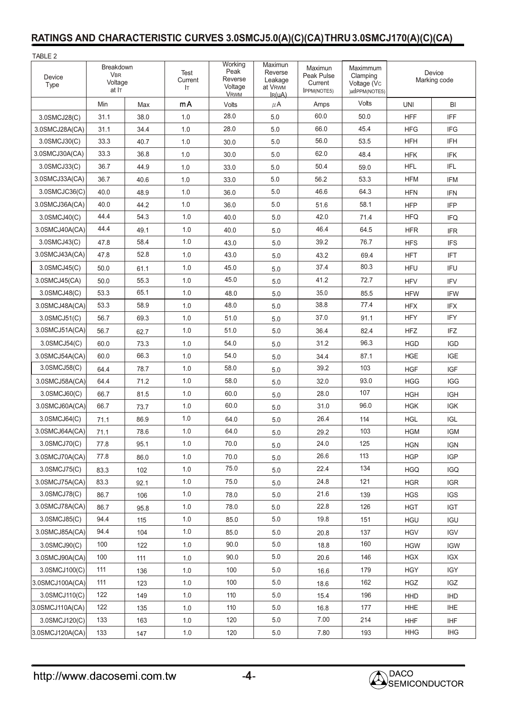#### **RATINGS AND CHARACTERISTIC CURVES 3.0SMCJ5.0(A)(C)(CA)THRU3.0SMCJ170(A)(C)(CA)**

| TABLE 2                                                       |      |      |                       |                                                      |                                                         |                                                        |                                                       |                        |            |
|---------------------------------------------------------------|------|------|-----------------------|------------------------------------------------------|---------------------------------------------------------|--------------------------------------------------------|-------------------------------------------------------|------------------------|------------|
| Breakdown<br><b>VBR</b><br>Device<br>Voltage<br>Type<br>at IT |      |      | Test<br>Current<br>Iт | Working<br>Peak<br>Reverse<br>Voltage<br><b>VRWM</b> | Maximun<br>Reverse<br>Leakage<br>at VRWM<br>$I_{R}(uA)$ | Maximun<br>Peak Pulse<br>Current<br><b>IPPM(NOTE5)</b> | Maximmum<br>Clamping<br>Voltage (Vc<br>)atlPPM(NOTE5) | Device<br>Marking code |            |
|                                                               | Min  | Max  | mA                    | Volts                                                | $\mu$ A                                                 | Amps                                                   | Volts                                                 | <b>UNI</b>             | BI         |
| 3.0SMCJ28(C)                                                  | 31.1 | 38.0 | 1.0                   | 28.0                                                 | 5.0                                                     | 60.0                                                   | 50.0                                                  | <b>HFF</b>             | <b>IFF</b> |
| 3.0SMCJ28A(CA)                                                | 31.1 | 34.4 | 1.0                   | 28.0                                                 | 5.0                                                     | 66.0                                                   | 45.4                                                  | <b>HFG</b>             | <b>IFG</b> |
| 3.0SMCJ30(C)                                                  | 33.3 | 40.7 | 1.0                   | 30.0                                                 | 5.0                                                     | 56.0                                                   | 53.5                                                  | <b>HFH</b>             | IFH        |
| 3.0SMCJ30A(CA)                                                | 33.3 | 36.8 | 1.0                   | 30.0                                                 | 5.0                                                     | 62.0                                                   | 48.4                                                  | <b>HFK</b>             | <b>IFK</b> |
| 3.0SMCJ33(C)                                                  | 36.7 | 44.9 | 1.0                   | 33.0                                                 | 5.0                                                     | 50.4                                                   | 59.0                                                  | <b>HFL</b>             | <b>IFL</b> |
| 3.0SMCJ33A(CA)                                                | 36.7 | 40.6 | 1.0                   | 33.0                                                 | 5.0                                                     | 56.2                                                   | 53.3                                                  | <b>HFM</b>             | <b>IFM</b> |
| 3.0SMCJC36(C)                                                 | 40.0 | 48.9 | 1.0                   | 36.0                                                 | 5.0                                                     | 46.6                                                   | 64.3                                                  | <b>HFN</b>             | <b>IFN</b> |
| 3.0SMCJ36A(CA)                                                | 40.0 | 44.2 | 1.0                   | 36.0                                                 | 5.0                                                     | 51.6                                                   | 58.1                                                  | <b>HFP</b>             | <b>IFP</b> |
| 3.0SMCJ40(C)                                                  | 44.4 | 54.3 | 1.0                   | 40.0                                                 | 5.0                                                     | 42.0                                                   | 71.4                                                  | <b>HFQ</b>             | <b>IFQ</b> |
| 3.0SMCJ40A(CA)                                                | 44.4 | 49.1 | 1.0                   | 40.0                                                 | 5.0                                                     | 46.4                                                   | 64.5                                                  | <b>HFR</b>             | <b>IFR</b> |
| 3.0SMCJ43(C)                                                  | 47.8 | 58.4 | 1.0                   | 43.0                                                 | 5.0                                                     | 39.2                                                   | 76.7                                                  | <b>HFS</b>             | <b>IFS</b> |
| 3.0SMCJ43A(CA)                                                | 47.8 | 52.8 | 1.0                   | 43.0                                                 | 5.0                                                     | 43.2                                                   | 69.4                                                  | <b>HFT</b>             | <b>IFT</b> |
| 3.0SMCJ45(C)                                                  | 50.0 | 61.1 | 1.0                   | 45.0                                                 | 5.0                                                     | 37.4                                                   | 80.3                                                  | <b>HFU</b>             | IFU        |
| 3.0SMCJ45(CA)                                                 | 50.0 | 55.3 | 1.0                   | 45.0                                                 | 5.0                                                     | 41.2                                                   | 72.7                                                  | <b>HFV</b>             | <b>IFV</b> |
| 3.0SMCJ48(C)                                                  | 53.3 | 65.1 | 1.0                   | 48.0                                                 | 5.0                                                     | 35.0                                                   | 85.5                                                  | <b>HFW</b>             | <b>IFW</b> |
| 3.0SMCJ48A(CA)                                                | 53.3 | 58.9 | 1.0                   | 48.0                                                 | 5.0                                                     | 38.8                                                   | 77.4                                                  | <b>HFX</b>             | IFX        |
| 3.0SMCJ51(C)                                                  | 56.7 | 69.3 | 1.0                   | 51.0                                                 | 5.0                                                     | 37.0                                                   | 91.1                                                  | <b>HFY</b>             | IFY        |
| 3.0SMCJ51A(CA)                                                | 56.7 | 62.7 | 1.0                   | 51.0                                                 | 5.0                                                     | 36.4                                                   | 82.4                                                  | <b>HFZ</b>             | IFZ        |
| 3.0SMCJ54(C)                                                  | 60.0 | 73.3 | 1.0                   | 54.0                                                 | 5.0                                                     | 31.2                                                   | 96.3                                                  | <b>HGD</b>             | <b>IGD</b> |
| 3.0SMCJ54A(CA)                                                | 60.0 | 66.3 | 1.0                   | 54.0                                                 | 5.0                                                     | 34.4                                                   | 87.1                                                  | <b>HGE</b>             | IGE        |
| 3.0SMCJ58(C)                                                  | 64.4 | 78.7 | 1.0                   | 58.0                                                 | 5.0                                                     | 39.2                                                   | 103                                                   | <b>HGF</b>             | <b>IGF</b> |
| 3.0SMCJ58A(CA)                                                | 64.4 | 71.2 | 1.0                   | 58.0                                                 | 5.0                                                     | 32.0                                                   | 93.0                                                  | <b>HGG</b>             | <b>IGG</b> |
| 3.0SMCJ60(C)                                                  | 66.7 | 81.5 | 1.0                   | 60.0                                                 | 5.0                                                     | 28.0                                                   | 107                                                   | <b>HGH</b>             | <b>IGH</b> |
| 3.0SMCJ60A(CA)                                                | 66.7 | 73.7 | 1.0                   | 60.0                                                 | 5.0                                                     | 31.0                                                   | 96.0                                                  | <b>HGK</b>             | <b>IGK</b> |
| 3.0SMCJ64(C)                                                  | 71.1 | 86.9 | 1.0                   | 64.0                                                 | 5.0                                                     | 26.4                                                   | 114                                                   | <b>HGL</b>             | <b>IGL</b> |
| 3.0SMCJ64A(CA)                                                | 71.1 | 78.6 | 1.0                   | 64.0                                                 | 5.0                                                     | 29.2                                                   | 103                                                   | HGM                    | <b>IGM</b> |
| 3.0SMCJ70(C)                                                  | 77.8 | 95.1 | 1.0                   | 70.0                                                 | 5.0                                                     | 24.0                                                   | 125                                                   | <b>HGN</b>             | <b>IGN</b> |
| 3.0SMCJ70A(CA)                                                | 77.8 | 86.0 | 1.0                   | 70.0                                                 | $5.0\,$                                                 | 26.6                                                   | 113                                                   | <b>HGP</b>             | <b>IGP</b> |
| 3.0SMCJ75(C)                                                  | 83.3 | 102  | 1.0                   | 75.0                                                 | 5.0                                                     | 22.4                                                   | 134                                                   | <b>HGQ</b>             | <b>IGQ</b> |
| 3.0SMCJ75A(CA)                                                | 83.3 | 92.1 | 1.0                   | 75.0                                                 | 5.0                                                     | 24.8                                                   | 121                                                   | <b>HGR</b>             | <b>IGR</b> |
| 3.0SMCJ78(C)                                                  | 86.7 | 106  | 1.0                   | 78.0                                                 | 5.0                                                     | 21.6                                                   | 139                                                   | <b>HGS</b>             | <b>IGS</b> |
| 3.0SMCJ78A(CA)                                                | 86.7 | 95.8 | 1.0                   | 78.0                                                 | $5.0\,$                                                 | 22.8                                                   | 126                                                   | <b>HGT</b>             | <b>IGT</b> |
| 3.0SMCJ85(C)                                                  | 94.4 | 115  | 1.0                   | 85.0                                                 | 5.0                                                     | 19.8                                                   | 151                                                   | <b>HGU</b>             | <b>IGU</b> |
| 3.0SMCJ85A(CA)                                                | 94.4 | 104  | 1.0                   | 85.0                                                 | 5.0                                                     | 20.8                                                   | 137                                                   | <b>HGV</b>             | <b>IGV</b> |
| 3.0SMCJ90(C)                                                  | 100  | 122  | 1.0                   | 90.0                                                 | 5.0                                                     | 18.8                                                   | 160                                                   | <b>HGW</b>             | <b>IGW</b> |
| 3.0SMCJ90A(CA)                                                | 100  | 111  | 1.0                   | 90.0                                                 | $5.0\,$                                                 | 20.6                                                   | 146                                                   | <b>HGX</b>             | <b>IGX</b> |
| 3.0SMCJ100(C)                                                 | 111  | 136  | 1.0                   | 100                                                  | 5.0                                                     | 16.6                                                   | 179                                                   | <b>HGY</b>             | <b>IGY</b> |
| 3.0SMCJ100A(CA)                                               | 111  | 123  | 1.0                   | 100                                                  | 5.0                                                     | 18.6                                                   | 162                                                   | <b>HGZ</b>             | IGZ        |
| 3.0SMCJ110(C)                                                 | 122  | 149  | 1.0                   | 110                                                  | 5.0                                                     | 15.4                                                   | 196                                                   | HHD                    | <b>IHD</b> |
| 3.0SMCJ110A(CA)                                               | 122  | 135  | 1.0                   | 110                                                  | 5.0                                                     | 16.8                                                   | 177                                                   | <b>HHE</b>             | <b>IHE</b> |
| 3.0SMCJ120(C)                                                 | 133  | 163  | 1.0                   | 120                                                  | 5.0                                                     | 7.00                                                   | 214                                                   | <b>HHF</b>             | <b>IHF</b> |
| 3.0SMCJ120A(CA)                                               | 133  | 147  | $1.0\,$               | 120                                                  | $5.0\,$                                                 | 7.80                                                   | 193                                                   | <b>HHG</b>             | <b>IHG</b> |